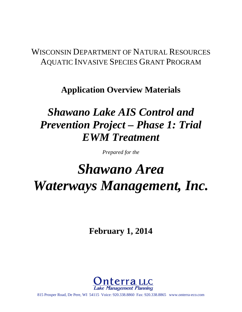# WISCONSIN DEPARTMENT OF NATURAL RESOURCES AQUATIC INVASIVE SPECIES GRANT PROGRAM

# **Application Overview Materials**

# *Shawano Lake AIS Control and Prevention Project – Phase 1: Trial EWM Treatment*

*Prepared for the* 

# *Shawano Area Waterways Management, Inc.*

**February 1, 2014** 



815 Prosper Road, De Pere, WI 54115 Voice: 920.338.8860 Fax: 920.338.8865 www.onterra-eco.com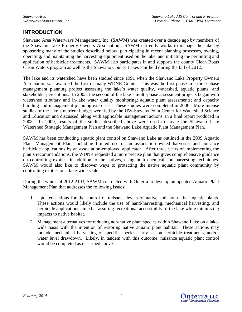# **INTRODUCTION**

Shawano Area Waterways Management, Inc. (SAWM) was created over a decade ago by members of the Shawano Lake Property Owners Association. SAWM currently works to manage the lake by sponsoring many of the studies described below, participating in recent planning processes, owning, operating, and maintaining the harvesting equipment used on the lake, and initiating the permitting and application of herbicide treatments. SAWM also participates in and supports the county Clean Boats Clean Waters program as well as the Shawano County Lakes Fair held during the fall of 2012.

The lake and its watershed have been studied since 1991 when the Shawano Lake Property Owners Association was awarded the first of many WDNR Grants. This was the first phase in a three-phase management planning project assessing the lake's water quality, watershed, aquatic plants, and stakeholder perceptions. In 2003, the second of the lake's multi-phase assessment projects began with watershed tributary and in-lake water quality monitoring; aquatic plant assessments; and capacity building and management planning exercises. These studies were completed in 2006. More intense studies of the lake's nutrient budget were led by the UW-Stevens Point Center for Watershed Science and Education and discussed, along with applicable management actions, in a final report produced in 2008. In 2009, results of the studies described above were used to create the Shawano Lake Watershed Strategic Management Plan and the Shawano Lake Aquatic Plant Management Plan.

SAWM has been conducting aquatic plant control on Shawano Lake as outlined in the 2009 Aquatic Plant Management Plan, including limited use of an association-owned harvester and nuisance herbicide applications by an association-employed applicator. After three years of implementing the plan's recommendations, the WDNR requested a more precise plan that gives comprehensive guidance on controlling exotics, in addition to the natives, using both chemical and harvesting techniques. SAWM would also like to discover ways to protecting the native aquatic plant community by controlling exotics on a lake-wide scale.

During the winter of 2012-2103, SAWM contracted with Onterra to develop an updated Aquatic Plant Management Plan that addresses the following issues:

- 1. Updated actions for the control of nuisance levels of native and non-native aquatic plants. These actions would likely include the use of hand-harvesting, mechanical harvesting, and herbicide applications aimed at assuring recreational accessibility of the lake while minimizing impacts to native habitat.
- 2. Management alternatives for reducing non-native plant species within Shawano Lake on a lakewide basis with the intention of restoring native aquatic plant habitat. These actions may include mechanical harvesting of specific species, early-season herbicide treatments, and/or water level drawdown. Likely, in tandem with this outcome, nuisance aquatic plant control would be completed as described above.

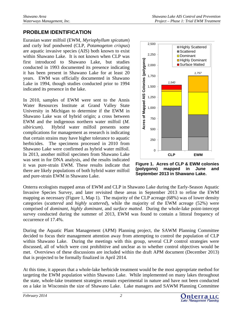# **PROBLEM IDENTIFICATION**

Eurasian water milfoil (EWM, *Myriophyllum spicatum*) and curly leaf pondweed (CLP, *Potamogeton crispus*) are aquatic invasive species (AIS) both known to exist within Shawano Lake. It is not known when CLP was first introduced to Shawano Lake, but studies conducted in 1993 documented its presence indicating it has been present in Shawano Lake for at least 20 years. EWM was officially documented in Shawano Lake in 1994, though studies conducted prior to 1994 indicated its presence in the lake.

In 2010, samples of EWM were sent to the Annis Water Resources Institute at Grand Valley State University in Michigan to determine if the EWM in Shawano Lake was of hybrid origin; a cross between EWM and the indigenous northern water milfoil (*M. sibiricum*). Hybrid water milfoil presents some complications for management as research is indicating that certain strains may have higher tolerance to aquatic herbicides. The specimens processed in 2010 from Shawano Lake were confirmed as hybrid water milfoil. In 2013, another milfoil specimen from Shawano Lake was sent in for DNA analysis, and the results indicated it was pure-strain EWM. These results indicate that there are likely populations of both hybrid water milfoil and pure-strain EWM in Shawano Lake.



**Figure 1. Acres of CLP & EWM colonies (polygons) mapped in June and September 2013 in Shawano Lake.** 

Onterra ecologists mapped areas of EWM and CLP in Shawano Lake during the Early-Season Aquatic Invasive Species Survey, and later revisited these areas in September 2013 to refine the EWM mapping as necessary (Figure 1, Map 1). The majority of the CLP acreage (68%) was of lower density categories (*scattered* and *highly scattered*), while the majority of the EWM acreage (52%) were comprised of *dominant*, *highly dominant,* and *surface matted.* During the whole-lake point-intercept survey conducted during the summer of 2013, EWM was found to contain a littoral frequency of occurrence of 17.4%.

During the Aquatic Plant Management (APM) Planning project, the SAWM Planning Committee decided to focus their management attention away from attempting to control the population of CLP within Shawano Lake. During the meetings with this group, several CLP control strategies were discussed, all of which were cost prohibitive and unclear as to whether control objectives would be met. Overviews of these discussions are included within the draft APM document (December 2013) that is projected to be formally finalized in April 2014.

At this time, it appears that a whole-lake herbicide treatment would be the most appropriate method for targeting the EWM population within Shawano Lake. While implemented on many lakes throughout the state, whole-lake treatment strategies remain experimental in nature and have not been conducted on a lake in Wisconsin the size of Shawano Lake. Lake managers and SAWM Planning Committee

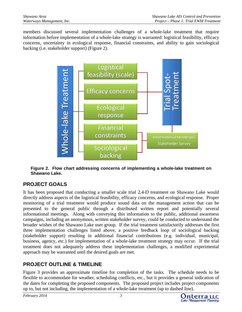members discussed several implementation challenges of a whole-lake treatment that require information before implementation of a whole-lake strategy is warranted: logistical feasibility, efficacy concerns, uncertainty in ecological response, financial constraints, and ability to gain sociological backing (i.e. stakeholder support) (Figure 2).



**Figure 2. Flow chart addressing concerns of implementing a whole-lake treatment on Shawano Lake.**

# **PROJECT GOALS**

It has been proposed that conducting a smaller scale trial 2,4-D treatment on Shawano Lake would directly address aspects of the logistical feasibility, efficacy concerns, and ecological response. Proper monitoring of a trial treatment would produce sound data on the management action that can be presented to the general public through a distributed written report and potentially several informational meetings. Along with conveying this information to the public, additional awareness campaigns, including an anonymous, written stakeholder survey, could be conducted to understand the broader wishes of the Shawano Lake user group. If the trial treatment satisfactorily addresses the first three implementation challenges listed above, a positive feedback loop of sociological backing (stakeholder support) resulting in additional financial contributions (e.g. individual, municipal, business, agency, etc.) for implementation of a whole-lake treatment strategy may occur. If the trial treatment does not adequately address these implementation challenges, a modified experimental approach may be warranted until the desired goals are met.

# **PROJECT OUTLINE & TIMELINE**

Figure 3 provides an approximate timeline for completion of the tasks. The schedule needs to be flexible to accommodate for weather, scheduling conflicts, etc., but it provides a general indication of the dates for completing the proposed components. The proposed project includes project components up to, but not including, the implementation of a whole-lake treatment (up to dashed line).

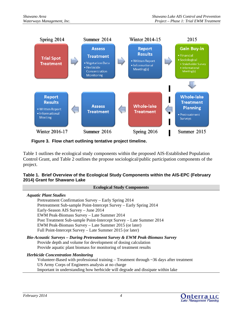

**Figure 3. Flow chart outlining tentative project timeline.**

Table 1 outlines the ecological study components within the proposed AIS-Established Population Control Grant, and Table 2 outlines the propose sociological/public participation components of the project.

#### **Table 1. Brief Overview of the Ecological Study Components within the AIS-EPC (February 2014) Grant for Shawano Lake**

| <b>Ecological Study Components</b>                                                              |
|-------------------------------------------------------------------------------------------------|
| <b>Aquatic Plant Studies</b>                                                                    |
| Pretreatment Confirmation Survey – Early Spring 2014                                            |
| Pretreatment Sub-sample Point-Intercept Survey - Early Spring 2014                              |
| Early-Season AIS Survey - June 2014                                                             |
| EWM Peak-Biomass Survey - Late Summer 2014                                                      |
| Post Treatment Sub-sample Point-Intercept Survey - Late Summer 2014                             |
| EWM Peak-Biomass Survey – Late Summer 2015 (or later)                                           |
| Full Point-Intercept Survey – Late Summer 2015 (or later)                                       |
| Bio-Acoustic Surveys – During Pretreatment Survey & EWM Peak-Biomass Survey                     |
| Provide depth and volume for development of dosing calculation                                  |
| Provide aquatic plant biomass for monitoring of treatment results                               |
| <b>Herbicide Concentration Monitoring</b>                                                       |
| Volunteer-Based with professional training $-$ Treatment through $\sim$ 36 days after treatment |
| US Army Corps of Engineers analysis at no charge                                                |
| Important in understanding how herbicide will degrade and dissipate within lake                 |
|                                                                                                 |
|                                                                                                 |

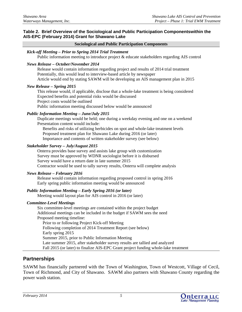#### **Table 2. Brief Overview of the Sociological and Public Participation Componentswithin the AIS-EPC (February 2014) Grant for Shawano Lake**

#### **Sociological and Public Participation Components**

#### *Kick-off Meeting – Prior to Spring 2014 Trial Treatment*

Public information meeting to introduce project & educate stakeholders regarding AIS control

#### *News Release – October/November 2014*

 Release would contain information regarding project and results of 2014 trial treatment Potentially, this would lead to interview-based article by newspaper Article would end by stating SAWM will be developing an AIS management plan in 2015

#### *New Release – Spring 2015*

 This release would, if applicable, disclose that a whole-lake treatment is being considered Expected benefits and potential risks would be discussed Project costs would be outlined Public information meeting discussed below would be announced

#### *Public Information Meeting – June/July 2015*

 Duplicate meetings would be held; one during a weekday evening and one on a weekend Presentation content would include:

 Benefits and risks of utilizing herbicides on spot and whole-lake treatment levels Proposed treatment plan for Shawano Lake during 2016 (or later) Importance and contents of written stakeholder survey (see below)

#### *Stakeholder Survey – July/August 2015*

 Onterra provides base survey and assists lake group with customization Survey must be approved by WDNR sociologist before it is disbursed Survey would have a return date in late summer 2015 Contractor would be used to tally survey results, Onterra will complete analysis

#### *News Release – February 2016*

 Release would contain information regarding proposed control in spring 2016 Early spring public information meeting would be announced

#### *Public Information Meeting – Early Spring 2016 (or later)*

Meeting would layout plan for AIS control in 2016 (or later)

#### *Committee-Level Meetings*

 Six committee-level meetings are contained within the project budget Additional meetings can be included in the budget if SAWM sees the need Proposed meeting timeline: Prior to or following Project Kick-off Meeting Following completion of 2014 Treatment Report (see below) Early spring 2015 Summer 2015, prior to Public Information Meeting Late summer 2015, after stakeholder survey results are tallied and analyzed Fall 2015 (or later) to finalize AIS-EPC Grant project funding whole-lake treatment

### **Partnerships**

SAWM has financially partnered with the Town of Washington, Town of Westcott, Village of Cecil, Town of Richmond, and City of Shawano. SAWM also partners with Shawano County regarding the power wash station.

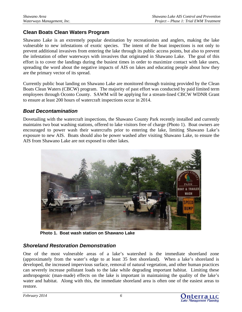# **Clean Boats Clean Waters Program**

Shawano Lake is an extremely popular destination by recreationists and anglers, making the lake vulnerable to new infestations of exotic species. The intent of the boat inspections is not only to prevent additional invasives from entering the lake through its public access points, but also to prevent the infestation of other waterways with invasives that originated in Shawano Lake. The goal of this effort is to cover the landings during the busiest times in order to maximize contact with lake users, spreading the word about the negative impacts of AIS on lakes and educating people about how they are the primary vector of its spread.

Currently public boat landing on Shawano Lake are monitored through training provided by the Clean Boats Clean Waters (CBCW) program. The majority of past effort was conducted by paid limited term employees through Oconto County. SAWM will be applying for a stream-lined CBCW WDNR Grant to ensure at least 200 hours of watercraft inspections occur in 2014.

# *Boat Decontamination*

Dovetailing with the watercraft inspections, the Shawano County Park recently installed and currently maintains two boat washing stations, offered to lake visitors free of charge (Photo 1). Boat owners are encouraged to power wash their watercrafts prior to entering the lake, limiting Shawano Lake's exposure to new AIS. Boats should also be power washed after visiting Shawano Lake, to ensure the AIS from Shawano Lake are not exposed to other lakes.



**Photo 1. Boat wash station on Shawano Lake**

# *Shoreland Restoration Demonstration*

One of the most vulnerable areas of a lake's watershed is the immediate shoreland zone (approximately from the water's edge to at least 35 feet shoreland). When a lake's shoreland is developed, the increased impervious surface, removal of natural vegetation, and other human practices can severely increase pollutant loads to the lake while degrading important habitat. Limiting these anthropogenic (man-made) effects on the lake is important in maintaining the quality of the lake's water and habitat. Along with this, the immediate shoreland area is often one of the easiest areas to restore.

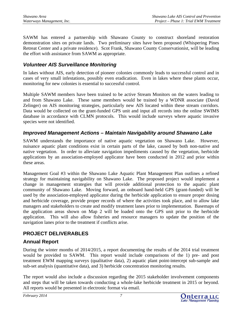SAWM has entered a partnership with Shawano County to construct shoreland restoration demonstration sites on private lands. Two preliminary sites have been proposed (Whispering Pines Retreat Center and a private residence). Scot Frank, Shawano County Conservationist, will be leading the effort with assistance from SAWM as appropriate.

# *Volunteer AIS Surveillance Monitoring*

In lakes without AIS, early detection of pioneer colonies commonly leads to successful control and in cases of very small infestations, possibly even eradication. Even in lakes where these plants occur, monitoring for new colonies is essential to successful control.

Multiple SAWM members have been trained to be active Stream Monitors on the waters leading to and from Shawano Lake. These same members would be trained by a WDNR associate (David Zelinger) on AIS monitoring strategies, particularly new AIS located within these stream corridors. Data would be collected on the grant-funded GPS unit and input all records into the online SWIMS database in accordance with CLMN protocols. This would include surveys where aquatic invasive species were not identified.

# *Improved Management Actions – Maintain Navigability around Shawano Lake*

SAWM understands the importance of native aquatic vegetation on Shawano Lake. However, nuisance aquatic plant conditions exist in certain parts of the lake, caused by both non-native and native vegetation. In order to alleviate navigation impediments caused by the vegetation, herbicide applications by an association-employed applicator have been conducted in 2012 and prior within these areas.

Management Goal #3 within the Shawano Lake Aquatic Plant Management Plan outlines a refined strategy for maintaining navigability on Shawano Lake. The proposed project would implement a change in management strategies that will provide additional protection to the aquatic plant community of Shawano Lake. Moving forward, an onboard hand-held GPS (grant-funded) will be used by the association-employed applicator during the herbicide application to ensure proper dosing and herbicide coverage, provide proper records of where the activities took place, and to allow lake managers and stakeholders to create and modify treatment lanes prior to implementation. Basemaps of the application areas shown on Map 2 will be loaded onto the GPS unit prior to the herbicide application. This will also allow fisheries and resource managers to update the position of the navigation lanes prior to the treatment if conflicts arise.

# **PROJECT DELIVERABLES**

# **Annual Report**

During the winter months of 2014/2015, a report documenting the results of the 2014 trial treatment would be provided to SAWM. This report would include comparisons of the 1) pre- and post treatment EWM mapping surveys (qualitative data), 2) aquatic plant point-intercept sub-sample and sub-set analysis (quantitative data), and 3) herbicide concentration monitoring results.

The report would also include a discussion regarding the 2015 stakeholder involvement components and steps that will be taken towards conducting a whole-lake herbicide treatment in 2015 or beyond. All reports would be presented in electronic format via email.

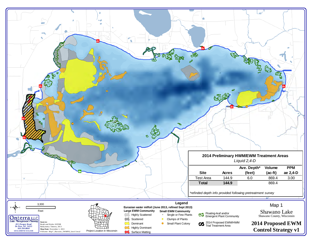